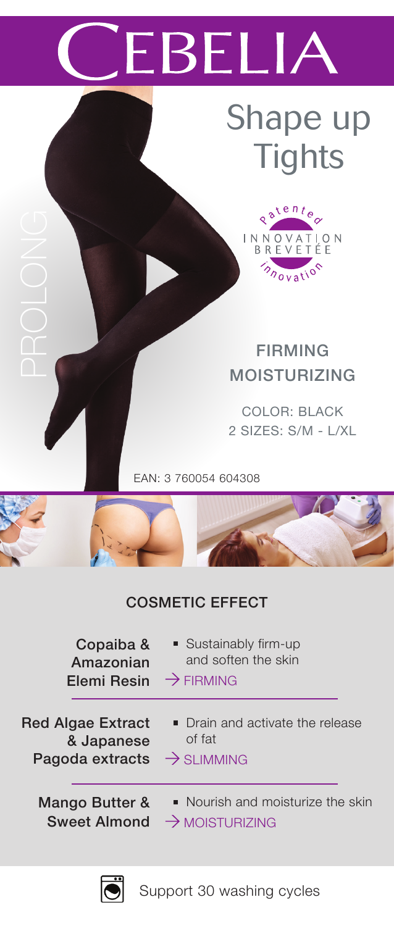# **EBELIA**

### Shape up **Tights**



FIRMING MOISTURIZING

COLOR: BLACK 2 SIZES: S/M - L/XL

EAN: 3 760054 604308

### COSMETIC EFFECT

| Copaiba &                | ■ Sustainably firm-up             |
|--------------------------|-----------------------------------|
| Amazonian                | and soften the skin               |
| Elemi Resin              | $\rightarrow$ FIRMING             |
| <b>Red Algae Extract</b> | • Drain and activate the release  |
| & Japanese               | of fat                            |
| Pagoda extracts          | $\rightarrow$ SI IMMING           |
| Mango Butter &           | • Nourish and moisturize the skin |
| <b>Sweet Almond</b>      | $\rightarrow$ MOISTURIZING        |